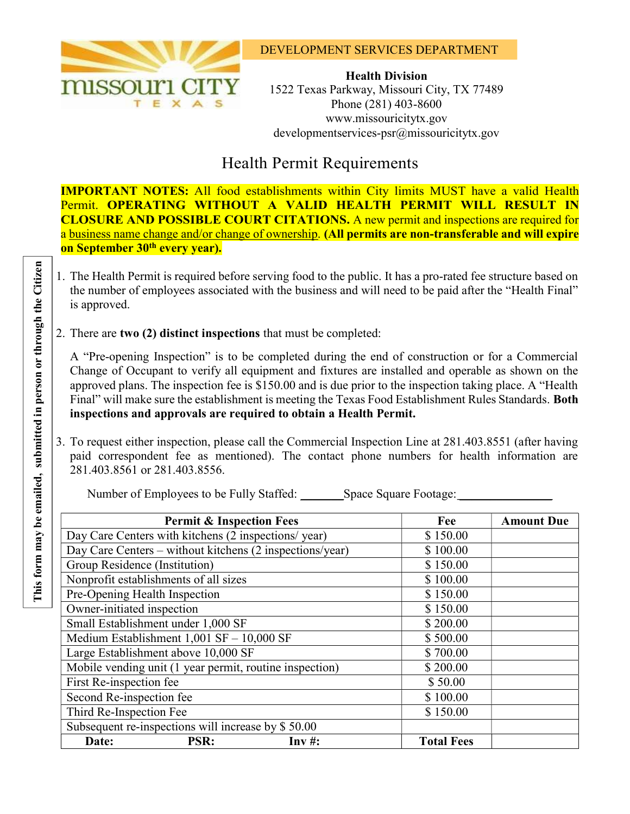

DEVELOPMENT SERVICES DEPARTMENT

Health Division 1522 Texas Parkway, Missouri City, TX 77489 Phone (281) 403-8600 www.missouricitytx.gov developmentservices-psr@missouricitytx.gov

## Health Permit Requirements

IMPORTANT NOTES: All food establishments within City limits MUST have a valid Health Permit. OPERATING WITHOUT A VALID HEALTH PERMIT WILL RESULT IN CLOSURE AND POSSIBLE COURT CITATIONS. A new permit and inspections are required for a business name change and/or change of ownership. (All permits are non-transferable and will expire on September 30<sup>th</sup> every year).

- 1. The Health Permit is required before serving food to the public. It has a pro-rated fee structure based on the number of employees associated with the business and will need to be paid after the "Health Final" is approved.
- 2. There are two (2) distinct inspections that must be completed:

A "Pre-opening Inspection" is to be completed during the end of construction or for a Commercial Change of Occupant to verify all equipment and fixtures are installed and operable as shown on the approved plans. The inspection fee is \$150.00 and is due prior to the inspection taking place. A "Health Final" will make sure the establishment is meeting the Texas Food Establishment Rules Standards. Both inspections and approvals are required to obtain a Health Permit.

3. To request either inspection, please call the Commercial Inspection Line at 281.403.8551 (after having paid correspondent fee as mentioned). The contact phone numbers for health information are 281.403.8561 or 281.403.8556.

Number of Employees to be Fully Staffed: \_\_\_\_\_\_\_\_\_Space Square Footage:

| <b>Permit &amp; Inspection Fees</b>                      |          | Fee               | <b>Amount Due</b> |
|----------------------------------------------------------|----------|-------------------|-------------------|
| Day Care Centers with kitchens (2 inspections/year)      |          | \$150.00          |                   |
| Day Care Centers – without kitchens (2 inspections/year) |          | \$100.00          |                   |
| Group Residence (Institution)                            |          | \$150.00          |                   |
| Nonprofit establishments of all sizes                    |          | \$100.00          |                   |
| Pre-Opening Health Inspection                            |          | \$150.00          |                   |
| Owner-initiated inspection                               |          | \$150.00          |                   |
| Small Establishment under 1,000 SF                       |          | \$200.00          |                   |
| Medium Establishment $1,001$ SF $- 10,000$ SF            |          | \$500.00          |                   |
| Large Establishment above 10,000 SF                      |          | \$700.00          |                   |
| Mobile vending unit (1 year permit, routine inspection)  |          | \$200.00          |                   |
| First Re-inspection fee                                  |          | \$50.00           |                   |
| Second Re-inspection fee                                 |          | \$100.00          |                   |
| Third Re-Inspection Fee                                  |          | \$150.00          |                   |
| Subsequent re-inspections will increase by \$50.00       |          |                   |                   |
| <b>PSR:</b><br>Date:                                     | $Inv#$ : | <b>Total Fees</b> |                   |